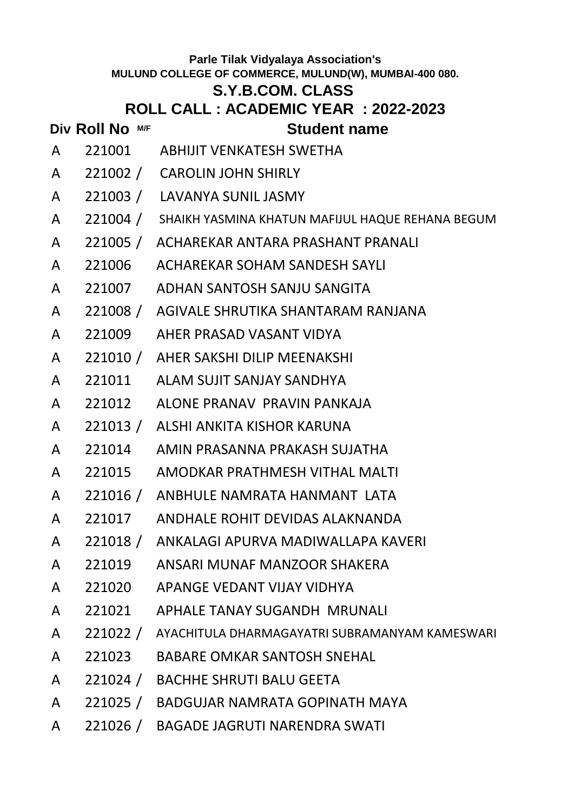### **S.Y.B.COM. CLASS**

## **ROLL CALL : ACADEMIC YEAR : 2022-2023**

- A 221001 ABHIJIT VENKATESH SWETHA
- A 221002 / CAROLIN JOHN SHIRLY
- A 221003 / LAVANYA SUNIL JASMY
- A 221004 / SHAIKH YASMINA KHATUN MAFIJUL HAQUE REHANA BEGUM
- A 221005 / ACHAREKAR ANTARA PRASHANT PRANALI
- A 221006 ACHAREKAR SOHAM SANDESH SAYLI
- A 221007 ADHAN SANTOSH SANJU SANGITA
- A 221008 / AGIVALE SHRUTIKA SHANTARAM RANJANA
- A 221009 AHER PRASAD VASANT VIDYA
- A 221010 / AHER SAKSHI DILIP MEENAKSHI
- A 221011 ALAM SUJIT SANJAY SANDHYA
- A 221012 ALONE PRANAV PRAVIN PANKAJA
- A 221013 / ALSHI ANKITA KISHOR KARUNA
- A 221014 AMIN PRASANNA PRAKASH SUJATHA
- A 221015 AMODKAR PRATHMESH VITHAL MALTI
- A 221016 / ANBHULE NAMRATA HANMANT LATA
- A 221017 ANDHALE ROHIT DEVIDAS ALAKNANDA
- A 221018 / ANKALAGI APURVA MADIWALLAPA KAVERI
- A 221019 ANSARI MUNAF MANZOOR SHAKERA
- A 221020 APANGE VEDANT VIJAY VIDHYA
- A 221021 APHALE TANAY SUGANDH MRUNALI
- A 221022 / AYACHITULA DHARMAGAYATRI SUBRAMANYAM KAMESWARI
- A 221023 BABARE OMKAR SANTOSH SNEHAL
- A 221024 / BACHHE SHRUTI BALU GEETA
- A 221025 / BADGUJAR NAMRATA GOPINATH MAYA
- A 221026 / BAGADE JAGRUTI NARENDRA SWATI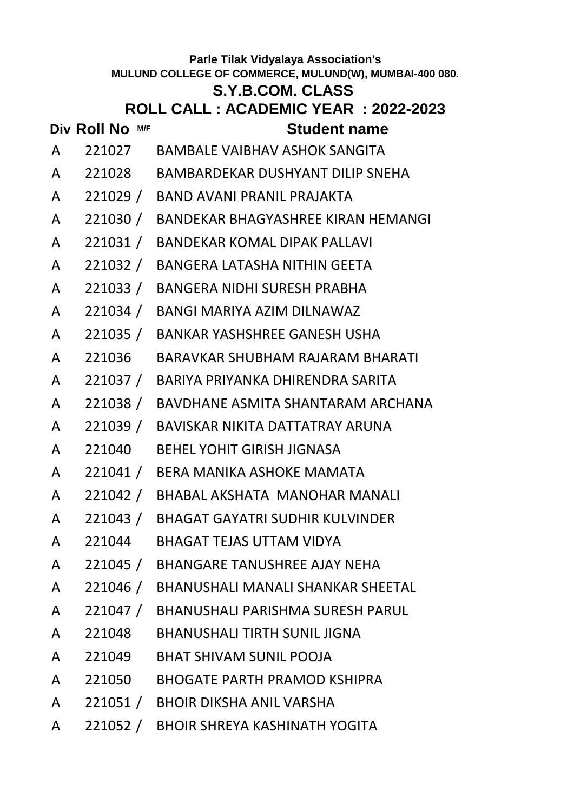### **S.Y.B.COM. CLASS**

## **ROLL CALL : ACADEMIC YEAR : 2022-2023**

- A 221027 BAMBALE VAIBHAV ASHOK SANGITA
- A 221028 BAMBARDEKAR DUSHYANT DILIP SNEHA
- A 221029 / BAND AVANI PRANIL PRAJAKTA
- A 221030 / BANDEKAR BHAGYASHREE KIRAN HEMANGI
- A 221031 / BANDEKAR KOMAL DIPAK PALLAVI
- A 221032 / BANGERA LATASHA NITHIN GEETA
- A 221033 / BANGERA NIDHI SURESH PRABHA
- A 221034 / BANGI MARIYA AZIM DILNAWAZ
- A 221035 / BANKAR YASHSHREE GANESH USHA
- A 221036 BARAVKAR SHUBHAM RAJARAM BHARATI
- A 221037 / BARIYA PRIYANKA DHIRENDRA SARITA
- A 221038 / BAVDHANE ASMITA SHANTARAM ARCHANA
- A 221039 / BAVISKAR NIKITA DATTATRAY ARUNA
- A 221040 BEHEL YOHIT GIRISH JIGNASA
- A 221041 / BERA MANIKA ASHOKE MAMATA
- A 221042 / BHABAL AKSHATA MANOHAR MANALI
- A 221043 / BHAGAT GAYATRI SUDHIR KULVINDER
- A 221044 BHAGAT TEJAS UTTAM VIDYA
- A 221045 / BHANGARE TANUSHREE AJAY NEHA
- A 221046 / BHANUSHALI MANALI SHANKAR SHEETAL
- A 221047 / BHANUSHALI PARISHMA SURESH PARUL
- A 221048 BHANUSHALI TIRTH SUNIL JIGNA
- A 221049 BHAT SHIVAM SUNIL POOJA
- A 221050 BHOGATE PARTH PRAMOD KSHIPRA
- A 221051 / BHOIR DIKSHA ANIL VARSHA
- A 221052 / BHOIR SHREYA KASHINATH YOGITA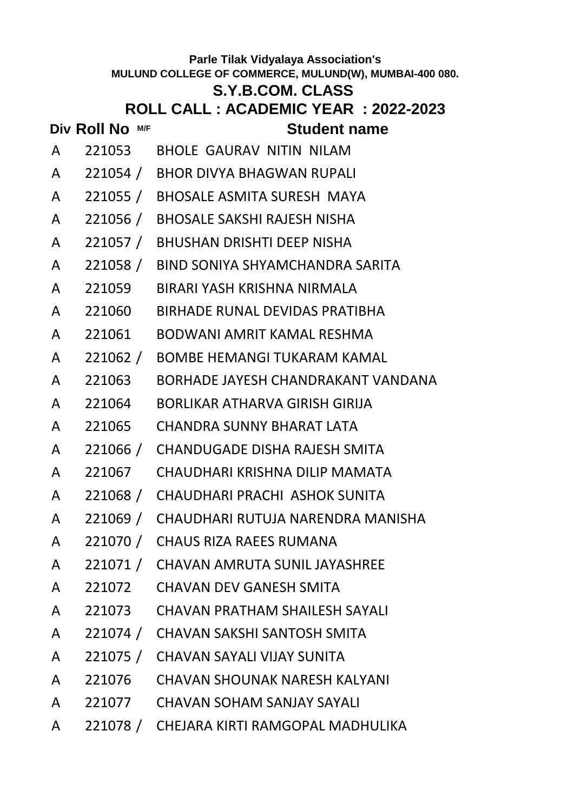# **Div Roll No M/F Student name S.Y.B.COM. CLASS ROLL CALL : ACADEMIC YEAR : 2022-2023** A 221053 BHOLE GAURAV NITIN NILAM A 221054 / BHOR DIVYA BHAGWAN RUPALI A 221055 / BHOSALE ASMITA SURESH MAYA A 221056 / BHOSALE SAKSHI RAJESH NISHA A 221057 / BHUSHAN DRISHTI DEEP NISHA A 221058 / BIND SONIYA SHYAMCHANDRA SARITA A 221059 BIRARI YASH KRISHNA NIRMALA A 221060 BIRHADE RUNAL DEVIDAS PRATIBHA A 221061 BODWANI AMRIT KAMAL RESHMA A 221062 / BOMBE HEMANGI TUKARAM KAMAL A 221063 BORHADE JAYESH CHANDRAKANT VANDANA A 221064 BORLIKAR ATHARVA GIRISH GIRIJA A 221065 CHANDRA SUNNY BHARAT LATA A 221066 / CHANDUGADE DISHA RAJESH SMITA A 221067 CHAUDHARI KRISHNA DILIP MAMATA A 221068 / CHAUDHARI PRACHI ASHOK SUNITA A 221069 / CHAUDHARI RUTUJA NARENDRA MANISHA A 221070 / CHAUS RIZA RAEES RUMANA A 221071 / CHAVAN AMRUTA SUNIL JAYASHREE A 221072 CHAVAN DEV GANESH SMITA A 221073 CHAVAN PRATHAM SHAILESH SAYALI A 221074 / CHAVAN SAKSHI SANTOSH SMITA A 221075 / CHAVAN SAYALI VIJAY SUNITA A 221076 CHAVAN SHOUNAK NARESH KALYANI A 221077 CHAVAN SOHAM SANJAY SAYALI

A 221078 / CHEJARA KIRTI RAMGOPAL MADHULIKA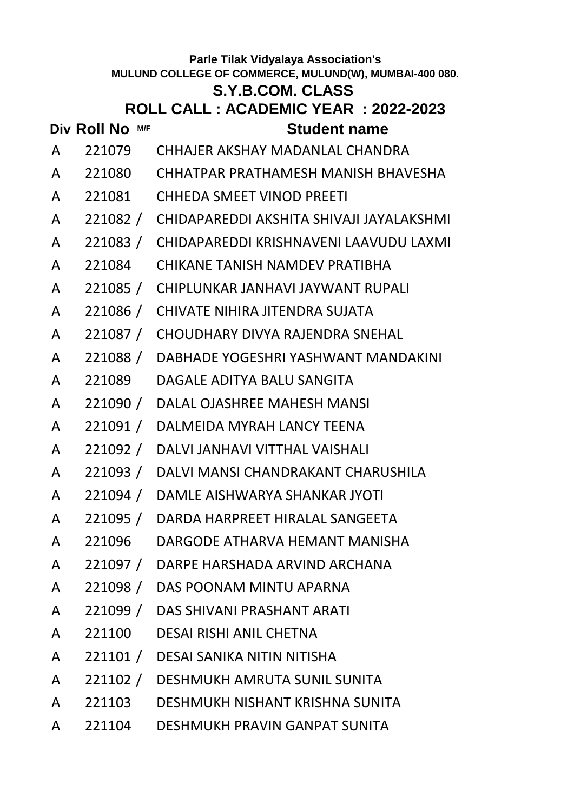### **S.Y.B.COM. CLASS**

- **Div Roll No**  $MF$  **Student name**
- A 221079 CHHAJER AKSHAY MADANLAL CHANDRA
- A 221080 CHHATPAR PRATHAMESH MANISH BHAVESHA
- A 221081 CHHEDA SMEET VINOD PREETI
- A 221082 / CHIDAPAREDDI AKSHITA SHIVAJI JAYALAKSHMI
- A 221083 / CHIDAPAREDDI KRISHNAVENI LAAVUDU LAXMI
- A 221084 CHIKANE TANISH NAMDEV PRATIBHA
- A 221085 / CHIPLUNKAR JANHAVI JAYWANT RUPALI
- A 221086 / CHIVATE NIHIRA JITENDRA SUJATA
- A 221087 / CHOUDHARY DIVYA RAJENDRA SNEHAL
- A 221088 / DABHADE YOGESHRI YASHWANT MANDAKINI
- A 221089 DAGALE ADITYA BALU SANGITA
- A 221090 / DALAL OJASHREE MAHESH MANSI
- A 221091 / DALMEIDA MYRAH LANCY TEENA
- A 221092 / DALVI JANHAVI VITTHAL VAISHALI
- A 221093 / DALVI MANSI CHANDRAKANT CHARUSHILA
- A 221094 / DAMLE AISHWARYA SHANKAR JYOTI
- A 221095 / DARDA HARPREET HIRALAL SANGEETA
- A 221096 DARGODE ATHARVA HEMANT MANISHA
- A 221097 / DARPE HARSHADA ARVIND ARCHANA
- A 221098 / DAS POONAM MINTU APARNA
- A 221099 / DAS SHIVANI PRASHANT ARATI
- A 221100 DESAI RISHI ANIL CHETNA
- A 221101 / DESAI SANIKA NITIN NITISHA
- A 221102 / DESHMUKH AMRUTA SUNIL SUNITA
- A 221103 DESHMUKH NISHANT KRISHNA SUNITA
- A 221104 DESHMUKH PRAVIN GANPAT SUNITA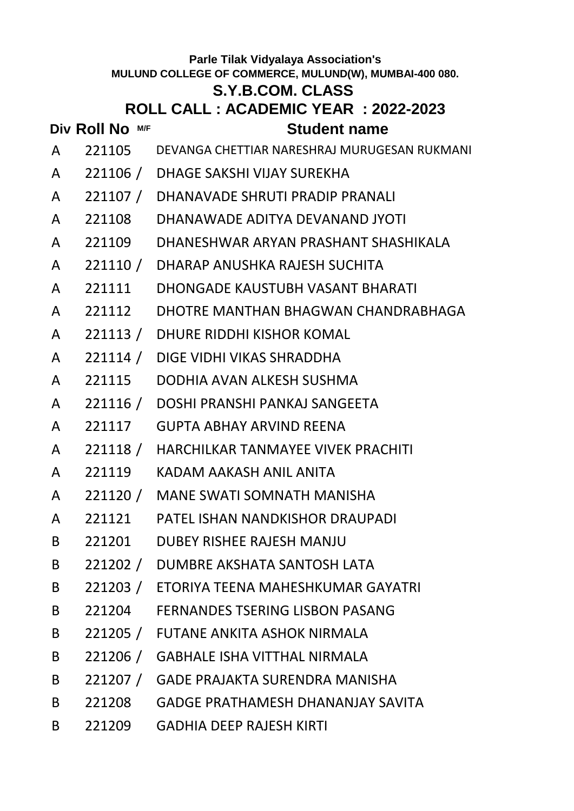### **S.Y.B.COM. CLASS**

|              |                 | U. I .D.VUIII. VLAJJ                                |
|--------------|-----------------|-----------------------------------------------------|
|              |                 | ROLL CALL : ACADEMIC YEAR : 2022-2023               |
|              | Div Roll No M/F | <b>Student name</b>                                 |
| A            |                 | 221105 DEVANGA CHETTIAR NARESHRAJ MURUGESAN RUKMANI |
| $\mathsf{A}$ |                 | 221106 / DHAGE SAKSHI VIJAY SUREKHA                 |
| $\mathsf{A}$ |                 | 221107 / DHANAVADE SHRUTI PRADIP PRANALI            |
| A            |                 | 221108 DHANAWADE ADITYA DEVANAND JYOTI              |
| A            |                 | 221109 DHANESHWAR ARYAN PRASHANT SHASHIKALA         |
| A            |                 | 221110 / DHARAP ANUSHKA RAJESH SUCHITA              |
| A            |                 | 221111 DHONGADE KAUSTUBH VASANT BHARATI             |
| A            |                 | 221112 DHOTRE MANTHAN BHAGWAN CHANDRABHAGA          |
| A            |                 | 221113 / DHURE RIDDHI KISHOR KOMAL                  |
| A            |                 | 221114 / DIGE VIDHI VIKAS SHRADDHA                  |
| A            |                 | 221115 DODHIA AVAN ALKESH SUSHMA                    |
| A            |                 | 221116 / DOSHI PRANSHI PANKAJ SANGEETA              |
| A            |                 | 221117 GUPTA ABHAY ARVIND REENA                     |
| A            |                 | 221118 / HARCHILKAR TANMAYEE VIVEK PRACHITI         |
| A            |                 | 221119 KADAM AAKASH ANIL ANITA                      |
| A            |                 | 221120 / MANE SWATI SOMNATH MANISHA                 |
| A            |                 | 221121 PATEL ISHAN NANDKISHOR DRAUPADI              |
| B            | 221201          | DUBEY RISHEE RAJESH MANJU                           |
| B            |                 | 221202 / DUMBRE AKSHATA SANTOSH LATA                |
| B            |                 | 221203 / ETORIYA TEENA MAHESHKUMAR GAYATRI          |
| B            |                 | 221204 FERNANDES TSERING LISBON PASANG              |
|              |                 |                                                     |

- B 221205 / FUTANE ANKITA ASHOK NIRMALA
- B 221206 / GABHALE ISHA VITTHAL NIRMALA
- B 221207 / GADE PRAJAKTA SURENDRA MANISHA
- B 221208 GADGE PRATHAMESH DHANANJAY SAVITA
- B 221209 GADHIA DEEP RAJESH KIRTI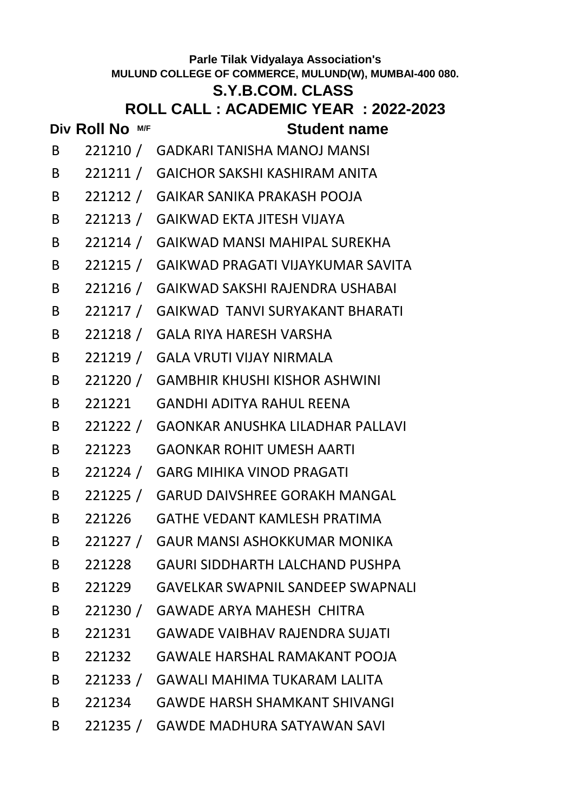# **S.Y.B.COM. CLASS**

## **ROLL CALL : ACADEMIC YEAR : 2022-2023**

- B 221210 / GADKARI TANISHA MANOJ MANSI
- B 221211 / GAICHOR SAKSHI KASHIRAM ANITA
- B 221212 / GAIKAR SANIKA PRAKASH POOJA
- B 221213 / GAIKWAD EKTA JITESH VIJAYA
- B 221214 / GAIKWAD MANSI MAHIPAL SUREKHA
- B 221215 / GAIKWAD PRAGATI VIJAYKUMAR SAVITA
- B 221216 / GAIKWAD SAKSHI RAJENDRA USHABAI
- B 221217 / GAIKWAD TANVI SURYAKANT BHARATI
- B 221218 / GALA RIYA HARESH VARSHA
- B 221219 / GALA VRUTI VIJAY NIRMALA
- B 221220 / GAMBHIR KHUSHI KISHOR ASHWINI
- B 221221 GANDHI ADITYA RAHUL REENA
- B 221222 / GAONKAR ANUSHKA LILADHAR PALLAVI
- B 221223 GAONKAR ROHIT UMESH AARTI
- B 221224 / GARG MIHIKA VINOD PRAGATI
- B 221225 / GARUD DAIVSHREE GORAKH MANGAL
- B 221226 GATHE VEDANT KAMLESH PRATIMA
- B 221227 / GAUR MANSI ASHOKKUMAR MONIKA
- B 221228 GAURI SIDDHARTH LALCHAND PUSHPA
- B 221229 GAVELKAR SWAPNIL SANDEEP SWAPNALI
- B 221230 / GAWADE ARYA MAHESH CHITRA
- B 221231 GAWADE VAIBHAV RAJENDRA SUJATI
- B 221232 GAWALE HARSHAL RAMAKANT POOJA
- B 221233 / GAWALI MAHIMA TUKARAM LALITA
- B 221234 GAWDE HARSH SHAMKANT SHIVANGI
- B 221235 / GAWDE MADHURA SATYAWAN SAVI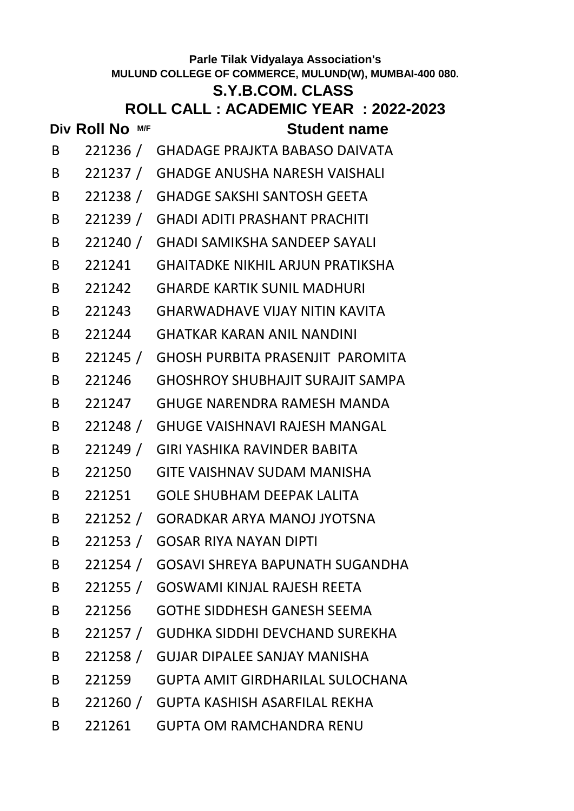# **Div Roll No M/F Student name Parle Tilak Vidyalaya Association's MULUND COLLEGE OF COMMERCE, MULUND(W), MUMBAI-400 080. S.Y.B.COM. CLASS ROLL CALL : ACADEMIC YEAR : 2022-2023** B 221236 / GHADAGE PRAJKTA BABASO DAIVATA B 221237 / GHADGE ANUSHA NARESH VAISHALI B 221238 / GHADGE SAKSHI SANTOSH GEETA B 221239 / GHADI ADITI PRASHANT PRACHITI B 221240 / GHADI SAMIKSHA SANDEEP SAYALI B 221241 GHAITADKE NIKHIL ARJUN PRATIKSHA B 221242 GHARDE KARTIK SUNIL MADHURI B 221243 GHARWADHAVE VIJAY NITIN KAVITA B 221244 GHATKAR KARAN ANIL NANDINI B 221245 / GHOSH PURBITA PRASENJIT PAROMITA B 221246 GHOSHROY SHUBHAJIT SURAJIT SAMPA B 221247 GHUGE NARENDRA RAMESH MANDA B 221248 / GHUGE VAISHNAVI RAJESH MANGAL B 221249 / GIRI YASHIKA RAVINDER BABITA B 221250 GITE VAISHNAV SUDAM MANISHA B 221251 GOLE SHUBHAM DEEPAK LALITA B 221252 / GORADKAR ARYA MANOJ JYOTSNA B 221253 / GOSAR RIYA NAYAN DIPTI B 221254 / GOSAVI SHREYA BAPUNATH SUGANDHA B 221255 / GOSWAMI KINJAL RAJESH REETA B 221256 GOTHE SIDDHESH GANESH SEEMA B 221257 / GUDHKA SIDDHI DEVCHAND SUREKHA B 221258 / GUJAR DIPALEE SANJAY MANISHA B 221259 GUPTA AMIT GIRDHARILAL SULOCHANA B 221260 / GUPTA KASHISH ASARFILAL REKHA B 221261 GUPTA OM RAMCHANDRA RENU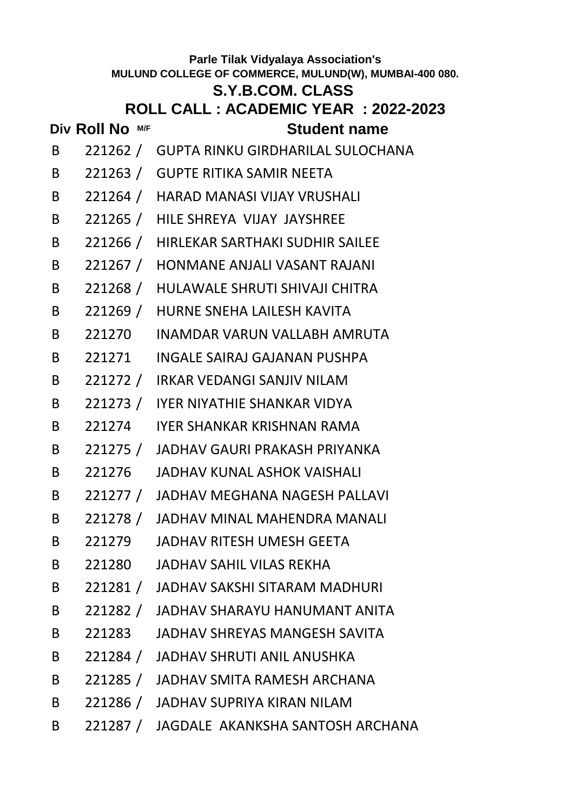# **S.Y.B.COM. CLASS**

## **ROLL CALL : ACADEMIC YEAR : 2022-2023**

- B 221262 / GUPTA RINKU GIRDHARILAL SULOCHANA
- B 221263 / GUPTE RITIKA SAMIR NEETA
- B 221264 / HARAD MANASI VIJAY VRUSHALI
- B 221265 / HILE SHREYA VIJAY JAYSHREE
- B 221266 / HIRLEKAR SARTHAKI SUDHIR SAILEE
- B 221267 / HONMANE ANJALI VASANT RAJANI
- B 221268 / HULAWALE SHRUTI SHIVAJI CHITRA
- B 221269 / HURNE SNEHA LAILESH KAVITA
- B 221270 INAMDAR VARUN VALLABH AMRUTA
- B 221271 INGALE SAIRAJ GAJANAN PUSHPA
- B 221272 / IRKAR VEDANGI SANJIV NILAM
- B 221273 / IYER NIYATHIE SHANKAR VIDYA
- B 221274 IYER SHANKAR KRISHNAN RAMA
- B 221275 / JADHAV GAURI PRAKASH PRIYANKA
- B 221276 JADHAV KUNAL ASHOK VAISHALI
- B 221277 / JADHAV MEGHANA NAGESH PALLAVI
- B 221278 / JADHAV MINAL MAHENDRA MANALI
- B 221279 JADHAV RITESH UMESH GEETA
- B 221280 JADHAV SAHIL VILAS REKHA
- B 221281 / JADHAV SAKSHI SITARAM MADHURI
- B 221282 / JADHAV SHARAYU HANUMANT ANITA
- B 221283 JADHAV SHREYAS MANGESH SAVITA
- B 221284 / JADHAV SHRUTI ANIL ANUSHKA
- B 221285 / JADHAV SMITA RAMESH ARCHANA
- B 221286 / JADHAV SUPRIYA KIRAN NILAM
- B 221287 / JAGDALE AKANKSHA SANTOSH ARCHANA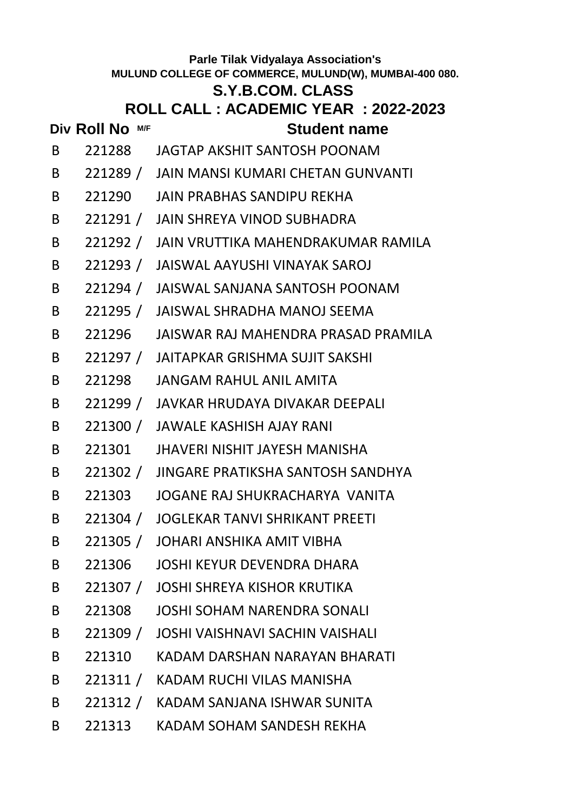## **S.Y.B.COM. CLASS**

## **ROLL CALL : ACADEMIC YEAR : 2022-2023**

- B 221288 JAGTAP AKSHIT SANTOSH POONAM
- B 221289 / JAIN MANSI KUMARI CHETAN GUNVANTI
- B 221290 JAIN PRABHAS SANDIPU REKHA
- B 221291 / JAIN SHREYA VINOD SUBHADRA
- B 221292 / JAIN VRUTTIKA MAHENDRAKUMAR RAMILA
- B 221293 / JAISWAL AAYUSHI VINAYAK SAROJ
- B 221294 / JAISWAL SANJANA SANTOSH POONAM
- B 221295 / JAISWAL SHRADHA MANOJ SEEMA
- B 221296 JAISWAR RAJ MAHENDRA PRASAD PRAMILA
- B 221297 / JAITAPKAR GRISHMA SUJIT SAKSHI
- B 221298 JANGAM RAHUL ANIL AMITA
- B 221299 / JAVKAR HRUDAYA DIVAKAR DEEPALI
- B 221300 / JAWALE KASHISH AJAY RANI
- B 221301 JHAVERI NISHIT JAYESH MANISHA
- B 221302 / JINGARE PRATIKSHA SANTOSH SANDHYA
- B 221303 JOGANE RAJ SHUKRACHARYA VANITA
- B 221304 / JOGLEKAR TANVI SHRIKANT PREETI
- B 221305 / JOHARI ANSHIKA AMIT VIBHA
- B 221306 JOSHI KEYUR DEVENDRA DHARA
- B 221307 / JOSHI SHREYA KISHOR KRUTIKA
- B 221308 JOSHI SOHAM NARENDRA SONALI
- B 221309 / JOSHI VAISHNAVI SACHIN VAISHALI
- B 221310 KADAM DARSHAN NARAYAN BHARATI
- B 221311 / KADAM RUCHI VILAS MANISHA
- B 221312 / KADAM SANJANA ISHWAR SUNITA
- B 221313 KADAM SOHAM SANDESH REKHA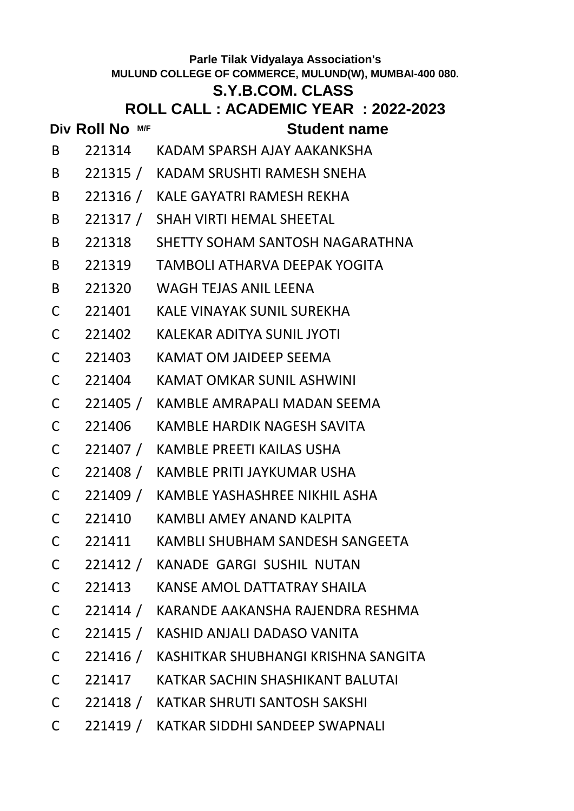# **S.Y.B.COM. CLASS**

- **Div Roll No M/F Student name**
- B 221314 KADAM SPARSH AJAY AAKANKSHA
- B 221315 / KADAM SRUSHTI RAMESH SNEHA
- B 221316 / KALE GAYATRI RAMESH REKHA
- B 221317 / SHAH VIRTI HEMAL SHEETAL
- B 221318 SHETTY SOHAM SANTOSH NAGARATHNA
- B 221319 TAMBOLI ATHARVA DEEPAK YOGITA
- B 221320 WAGH TEJAS ANIL LEENA
- C 221401 KALE VINAYAK SUNIL SUREKHA
- C 221402 KALEKAR ADITYA SUNIL JYOTI
- C 221403 KAMAT OM JAIDEEP SEEMA
- C 221404 KAMAT OMKAR SUNIL ASHWINI
- C 221405 / KAMBLE AMRAPALI MADAN SEEMA
- C 221406 KAMBLE HARDIK NAGESH SAVITA
- C 221407 / KAMBLE PREETI KAILAS USHA
- C 221408 / KAMBLE PRITI JAYKUMAR USHA
- C 221409 / KAMBLE YASHASHREE NIKHIL ASHA
- C 221410 KAMBLI AMEY ANAND KALPITA
- C 221411 KAMBLI SHUBHAM SANDESH SANGEETA
- C 221412 / KANADE GARGI SUSHIL NUTAN
- C 221413 KANSE AMOL DATTATRAY SHAILA
- C 221414 / KARANDE AAKANSHA RAJENDRA RESHMA
- C 221415 / KASHID ANJALI DADASO VANITA
- C 221416 / KASHITKAR SHUBHANGI KRISHNA SANGITA
- C 221417 KATKAR SACHIN SHASHIKANT BALUTAI
- C 221418 / KATKAR SHRUTI SANTOSH SAKSHI
- C 221419 / KATKAR SIDDHI SANDEEP SWAPNALI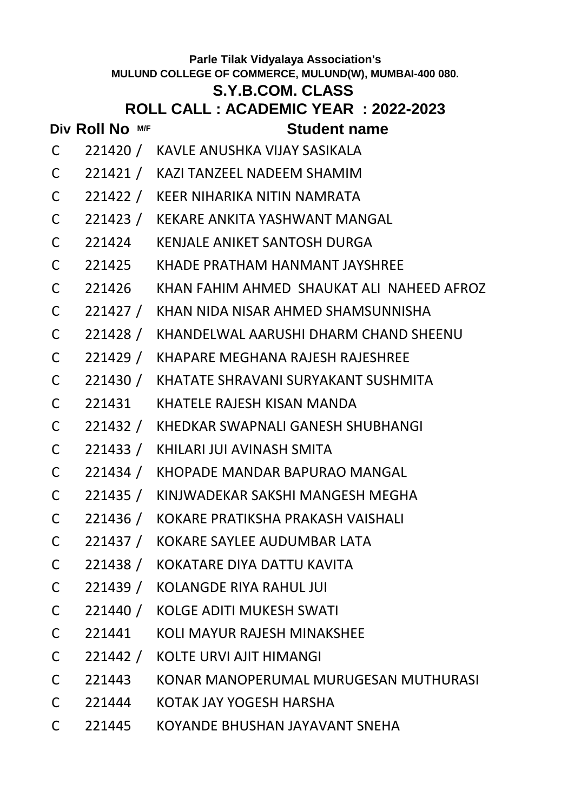### **S.Y.B.COM. CLASS**

## **ROLL CALL : ACADEMIC YEAR : 2022-2023**

- C 221420 / KAVLE ANUSHKA VIJAY SASIKALA
- C 221421 / KAZI TANZEEL NADEEM SHAMIM
- C 221422 / KEER NIHARIKA NITIN NAMRATA
- C 221423 / KEKARE ANKITA YASHWANT MANGAL
- C 221424 KENJALE ANIKET SANTOSH DURGA
- C 221425 KHADE PRATHAM HANMANT JAYSHREE
- C 221426 KHAN FAHIM AHMED SHAUKAT ALI NAHEED AFROZ
- C 221427 / KHAN NIDA NISAR AHMED SHAMSUNNISHA
- C 221428 / KHANDELWAL AARUSHI DHARM CHAND SHEENU
- C 221429 / KHAPARE MEGHANA RAJESH RAJESHREE
- C 221430 / KHATATE SHRAVANI SURYAKANT SUSHMITA
- C 221431 KHATELE RAJESH KISAN MANDA
- C 221432 / KHEDKAR SWAPNALI GANESH SHUBHANGI
- C 221433 / KHILARI JUI AVINASH SMITA
- C 221434 / KHOPADE MANDAR BAPURAO MANGAL
- C 221435 / KINJWADEKAR SAKSHI MANGESH MEGHA
- C 221436 / KOKARE PRATIKSHA PRAKASH VAISHALI
- C 221437 / KOKARE SAYLEE AUDUMBAR LATA
- C 221438 / KOKATARE DIYA DATTU KAVITA
- C 221439 / KOLANGDE RIYA RAHUL JUI
- C 221440 / KOLGE ADITI MUKESH SWATI
- C 221441 KOLI MAYUR RAJESH MINAKSHEE
- C 221442 / KOLTE URVI AJIT HIMANGI
- C 221443 KONAR MANOPERUMAL MURUGESAN MUTHURASI
- C 221444 KOTAK JAY YOGESH HARSHA
- C 221445 KOYANDE BHUSHAN JAYAVANT SNEHA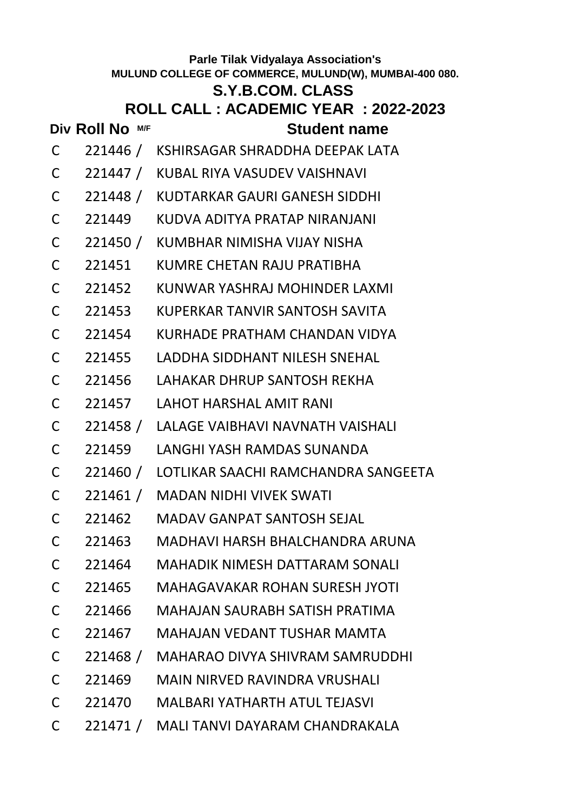| <b>Parle Tilak Vidyalaya Association's</b><br>MULUND COLLEGE OF COMMERCE, MULUND(W), MUMBAI-400 080. |                                       |                                              |  |  |  |  |  |  |  |
|------------------------------------------------------------------------------------------------------|---------------------------------------|----------------------------------------------|--|--|--|--|--|--|--|
|                                                                                                      | <b>S.Y.B.COM. CLASS</b>               |                                              |  |  |  |  |  |  |  |
|                                                                                                      | ROLL CALL : ACADEMIC YEAR : 2022-2023 |                                              |  |  |  |  |  |  |  |
|                                                                                                      | Div Roll No M/F                       | <b>Student name</b>                          |  |  |  |  |  |  |  |
| C                                                                                                    |                                       | 221446 / KSHIRSAGAR SHRADDHA DEEPAK LATA     |  |  |  |  |  |  |  |
| C                                                                                                    |                                       | 221447 / KUBAL RIYA VASUDEV VAISHNAVI        |  |  |  |  |  |  |  |
| C                                                                                                    |                                       | 221448 / KUDTARKAR GAURI GANESH SIDDHI       |  |  |  |  |  |  |  |
| C                                                                                                    | 221449                                | KUDVA ADITYA PRATAP NIRANJANI                |  |  |  |  |  |  |  |
| C                                                                                                    |                                       | 221450 / KUMBHAR NIMISHA VIJAY NISHA         |  |  |  |  |  |  |  |
| C                                                                                                    | 221451                                | KUMRE CHETAN RAJU PRATIBHA                   |  |  |  |  |  |  |  |
| C                                                                                                    | 221452                                | KUNWAR YASHRAJ MOHINDER LAXMI                |  |  |  |  |  |  |  |
| C                                                                                                    | 221453                                | KUPERKAR TANVIR SANTOSH SAVITA               |  |  |  |  |  |  |  |
| C                                                                                                    | 221454                                | KURHADE PRATHAM CHANDAN VIDYA                |  |  |  |  |  |  |  |
| C                                                                                                    | 221455                                | LADDHA SIDDHANT NILESH SNEHAL                |  |  |  |  |  |  |  |
| C                                                                                                    | 221456                                | LAHAKAR DHRUP SANTOSH REKHA                  |  |  |  |  |  |  |  |
| C                                                                                                    | 221457                                | <b>LAHOT HARSHAL AMIT RANI</b>               |  |  |  |  |  |  |  |
| C                                                                                                    |                                       | 221458 / LALAGE VAIBHAVI NAVNATH VAISHALI    |  |  |  |  |  |  |  |
| C                                                                                                    | 221459                                | LANGHI YASH RAMDAS SUNANDA                   |  |  |  |  |  |  |  |
| C                                                                                                    |                                       | 221460 / LOTLIKAR SAACHI RAMCHANDRA SANGEETA |  |  |  |  |  |  |  |
| C                                                                                                    |                                       | 221461 / MADAN NIDHI VIVEK SWATI             |  |  |  |  |  |  |  |
| $\mathsf{C}$                                                                                         |                                       | 221462 MADAV GANPAT SANTOSH SEJAL            |  |  |  |  |  |  |  |
|                                                                                                      |                                       | C 221463 MADHAVI HARSH BHALCHANDRA ARUNA     |  |  |  |  |  |  |  |
|                                                                                                      |                                       | C 221464 MAHADIK NIMESH DATTARAM SONALI      |  |  |  |  |  |  |  |
|                                                                                                      |                                       | C 221465 MAHAGAVAKAR ROHAN SURESH JYOTI      |  |  |  |  |  |  |  |
|                                                                                                      |                                       | C 221466 MAHAJAN SAURABH SATISH PRATIMA      |  |  |  |  |  |  |  |
| $\mathsf{C}$                                                                                         |                                       | 221467 MAHAJAN VEDANT TUSHAR MAMTA           |  |  |  |  |  |  |  |
| $\mathsf{C}$                                                                                         |                                       | 221468 / MAHARAO DIVYA SHIVRAM SAMRUDDHI     |  |  |  |  |  |  |  |
| $\mathsf{C}$                                                                                         |                                       | 221469 MAIN NIRVED RAVINDRA VRUSHALI         |  |  |  |  |  |  |  |
|                                                                                                      |                                       | C 221470 MALBARI YATHARTH ATUL TEJASVI       |  |  |  |  |  |  |  |
| $\mathsf{C}$                                                                                         |                                       | 221471 / MALI TANVI DAYARAM CHANDRAKALA      |  |  |  |  |  |  |  |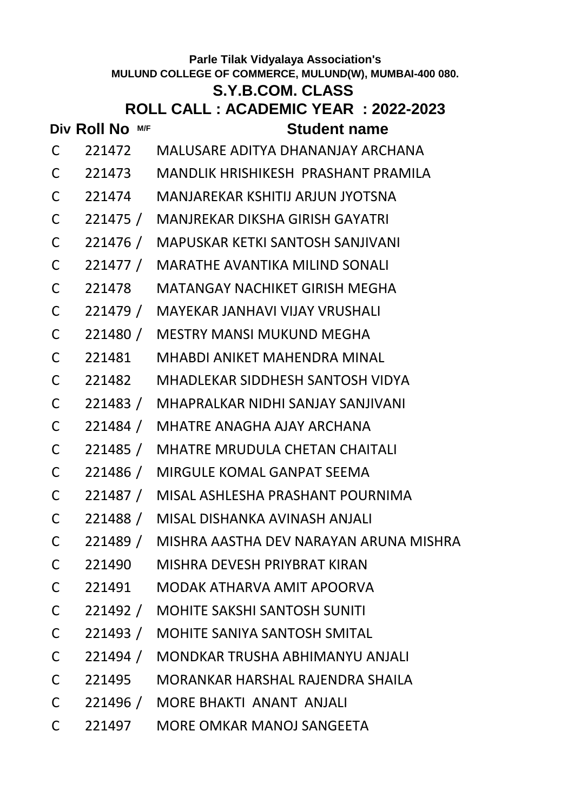# **S.Y.B.COM. CLASS**

# **ROLL CALL : ACADEMIC YEAR : 2022-2023**

### **Div Roll No M/F Student name** C 221472 MALUSARE ADITYA DHANANJAY ARCHANA

- C 221473 MANDLIK HRISHIKESH PRASHANT PRAMILA
- C 221474 MANJAREKAR KSHITIJ ARJUN JYOTSNA
- C 221475 / MANJREKAR DIKSHA GIRISH GAYATRI
- C 221476 / MAPUSKAR KETKI SANTOSH SANJIVANI
- C 221477 / MARATHE AVANTIKA MILIND SONALI
- C 221478 MATANGAY NACHIKET GIRISH MEGHA
- C 221479 / MAYEKAR JANHAVI VIJAY VRUSHALI
- C 221480 / MESTRY MANSI MUKUND MEGHA
- C 221481 MHABDI ANIKET MAHENDRA MINAL
- C 221482 MHADLEKAR SIDDHESH SANTOSH VIDYA
- C 221483 / MHAPRALKAR NIDHI SANJAY SANJIVANI
- C 221484 / MHATRE ANAGHA AJAY ARCHANA
- C 221485 / MHATRE MRUDULA CHETAN CHAITALI
- C 221486 / MIRGULE KOMAL GANPAT SEEMA
- C 221487 / MISAL ASHLESHA PRASHANT POURNIMA
- C 221488 / MISAL DISHANKA AVINASH ANJALI
- C 221489 / MISHRA AASTHA DEV NARAYAN ARUNA MISHRA
- C 221490 MISHRA DEVESH PRIYBRAT KIRAN
- C 221491 MODAK ATHARVA AMIT APOORVA
- C 221492 / MOHITE SAKSHI SANTOSH SUNITI
- C 221493 / MOHITE SANIYA SANTOSH SMITAL
- C 221494 / MONDKAR TRUSHA ABHIMANYU ANJALI
- C 221495 MORANKAR HARSHAL RAJENDRA SHAILA
- C 221496 / MORE BHAKTI ANANT ANJALI
- C 221497 MORE OMKAR MANOJ SANGEETA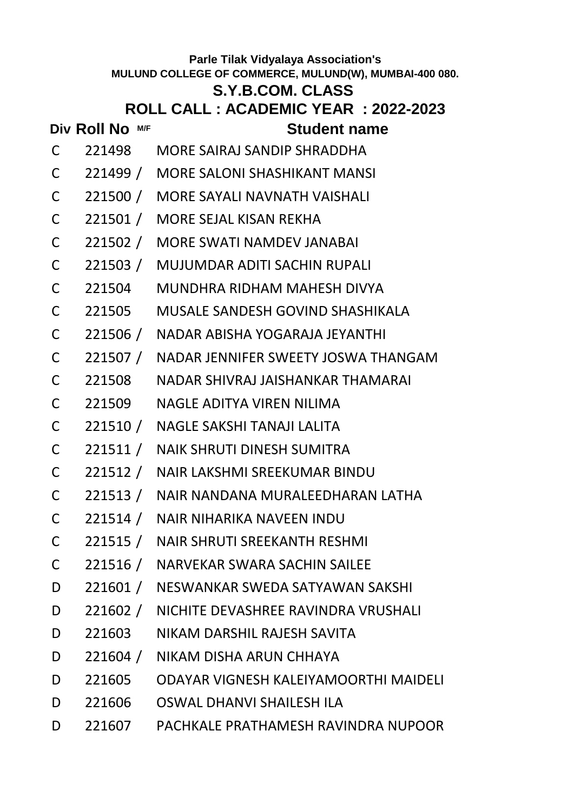### **S.Y.B.COM. CLASS**

## **ROLL CALL : ACADEMIC YEAR : 2022-2023**

- C 221498 MORE SAIRAJ SANDIP SHRADDHA
- C 221499 / MORE SALONI SHASHIKANT MANSI
- C 221500 / MORE SAYALI NAVNATH VAISHALI
- C 221501 / MORE SEJAL KISAN REKHA
- C 221502 / MORE SWATI NAMDEV JANABAI
- C 221503 / MUJUMDAR ADITI SACHIN RUPALI
- C 221504 MUNDHRA RIDHAM MAHESH DIVYA
- C 221505 MUSALE SANDESH GOVIND SHASHIKALA
- C 221506 / NADAR ABISHA YOGARAJA JEYANTHI
- C 221507 / NADAR JENNIFER SWEETY JOSWA THANGAM
- C 221508 NADAR SHIVRAJ JAISHANKAR THAMARAI
- C 221509 NAGLE ADITYA VIREN NILIMA
- C 221510 / NAGLE SAKSHI TANAJI LALITA
- C 221511 / NAIK SHRUTI DINESH SUMITRA
- C 221512 / NAIR LAKSHMI SREEKUMAR BINDU
- C 221513 / NAIR NANDANA MURALEEDHARAN LATHA
- C 221514 / NAIR NIHARIKA NAVEEN INDU
- C 221515 / NAIR SHRUTI SREEKANTH RESHMI
- C 221516 / NARVEKAR SWARA SACHIN SAILEE
- D 221601 / NESWANKAR SWEDA SATYAWAN SAKSHI
- D 221602 / NICHITE DEVASHREE RAVINDRA VRUSHALI
- D 221603 NIKAM DARSHIL RAJESH SAVITA
- D 221604 / NIKAM DISHA ARUN CHHAYA
- D 221605 ODAYAR VIGNESH KALEIYAMOORTHI MAIDELI
- D 221606 OSWAL DHANVI SHAILESH ILA
- D 221607 PACHKALE PRATHAMESH RAVINDRA NUPOOR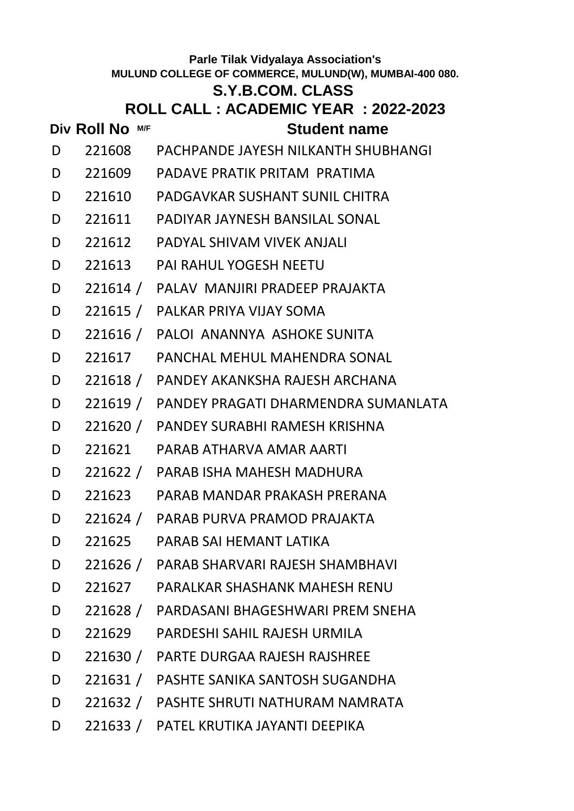### **S.Y.B.COM. CLASS**

# **ROLL CALL : ACADEMIC YEAR : 2022-2023**

- 
- D 221608 PACHPANDE JAYESH NILKANTH SHUBHANGI
- D 221609 PADAVE PRATIK PRITAM PRATIMA
- D 221610 PADGAVKAR SUSHANT SUNIL CHITRA
- D 221611 PADIYAR JAYNESH BANSILAL SONAL
- D 221612 PADYAL SHIVAM VIVEK ANJALI
- D 221613 PAI RAHUL YOGESH NEETU
- D 221614 / PALAV MANJIRI PRADEEP PRAJAKTA
- D 221615 / PALKAR PRIYA VIJAY SOMA
- D 221616 / PALOI ANANNYA ASHOKE SUNITA
- D 221617 PANCHAL MEHUL MAHENDRA SONAL
- D 221618 / PANDEY AKANKSHA RAJESH ARCHANA
- D 221619 / PANDEY PRAGATI DHARMENDRA SUMANLATA
- D 221620 / PANDEY SURABHI RAMESH KRISHNA
- D 221621 PARAB ATHARVA AMAR AARTI
- D 221622 / PARAB ISHA MAHESH MADHURA
- D 221623 PARAB MANDAR PRAKASH PRERANA
- D 221624 / PARAB PURVA PRAMOD PRAJAKTA
- D 221625 PARAB SAI HEMANT LATIKA
- D 221626 / PARAB SHARVARI RAJESH SHAMBHAVI
- D 221627 PARALKAR SHASHANK MAHESH RENU
- D 221628 / PARDASANI BHAGESHWARI PREM SNEHA
- D 221629 PARDESHI SAHIL RAJESH URMILA
- D 221630 / PARTE DURGAA RAJESH RAJSHREE
- D 221631 / PASHTE SANIKA SANTOSH SUGANDHA
- D 221632 / PASHTE SHRUTI NATHURAM NAMRATA
- D 221633 / PATEL KRUTIKA JAYANTI DEEPIKA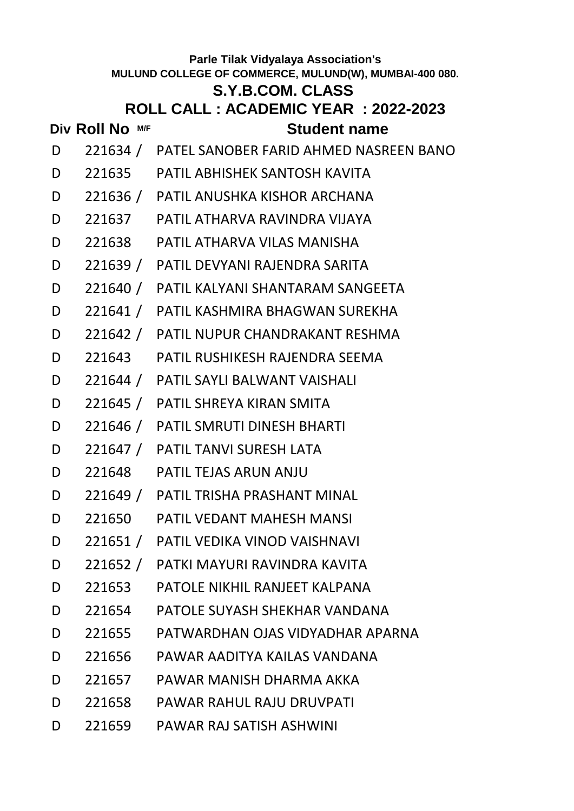### **S.Y.B.COM. CLASS**

- **Div Roll No M/F Student name**
- D 221634 / PATEL SANOBER FARID AHMED NASREEN BANO
- D 221635 PATIL ABHISHEK SANTOSH KAVITA
- D 221636 / PATIL ANUSHKA KISHOR ARCHANA
- D 221637 PATIL ATHARVA RAVINDRA VIJAYA
- D 221638 PATIL ATHARVA VILAS MANISHA
- D 221639 / PATIL DEVYANI RAJENDRA SARITA
- D 221640 / PATIL KALYANI SHANTARAM SANGEETA
- D 221641 / PATIL KASHMIRA BHAGWAN SUREKHA
- D 221642 / PATIL NUPUR CHANDRAKANT RESHMA
- D 221643 PATIL RUSHIKESH RAJENDRA SEEMA
- D 221644 / PATIL SAYLI BALWANT VAISHALI
- D 221645 / PATIL SHREYA KIRAN SMITA
- D 221646 / PATIL SMRUTI DINESH BHARTI
- D 221647 / PATIL TANVI SURESH LATA
- D 221648 PATIL TEJAS ARUN ANJU
- D 221649 / PATIL TRISHA PRASHANT MINAL
- D 221650 PATIL VEDANT MAHESH MANSI
- D 221651 / PATIL VEDIKA VINOD VAISHNAVI
- D 221652 / PATKI MAYURI RAVINDRA KAVITA
- D 221653 PATOLE NIKHIL RANJEET KALPANA
- D 221654 PATOLE SUYASH SHEKHAR VANDANA
- D 221655 PATWARDHAN OJAS VIDYADHAR APARNA
- D 221656 PAWAR AADITYA KAILAS VANDANA
- D 221657 PAWAR MANISH DHARMA AKKA
- D 221658 PAWAR RAHUL RAJU DRUVPATI
- D 221659 PAWAR RAJ SATISH ASHWINI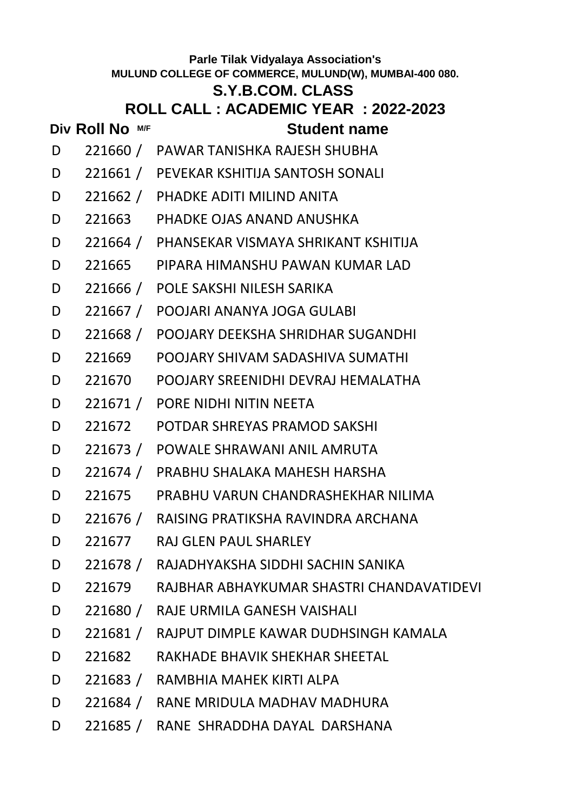### **S.Y.B.COM. CLASS**

## **ROLL CALL : ACADEMIC YEAR : 2022-2023**

- D 221660 / PAWAR TANISHKA RAJESH SHUBHA
- D 221661 / PEVEKAR KSHITIJA SANTOSH SONALI
- D 221662 / PHADKE ADITI MILIND ANITA
- D 221663 PHADKE OJAS ANAND ANUSHKA
- D 221664 / PHANSEKAR VISMAYA SHRIKANT KSHITIJA
- D 221665 PIPARA HIMANSHU PAWAN KUMAR LAD
- D 221666 / POLE SAKSHI NILESH SARIKA
- D 221667 / POOJARI ANANYA JOGA GULABI
- D 221668 / POOJARY DEEKSHA SHRIDHAR SUGANDHI
- D 221669 POOJARY SHIVAM SADASHIVA SUMATHI
- D 221670 POOJARY SREENIDHI DEVRAJ HEMALATHA
- D 221671 / PORE NIDHI NITIN NEETA
- D 221672 POTDAR SHREYAS PRAMOD SAKSHI
- D 221673 / POWALE SHRAWANI ANIL AMRUTA
- D 221674 / PRABHU SHALAKA MAHESH HARSHA
- D 221675 PRABHU VARUN CHANDRASHEKHAR NILIMA
- D 221676 / RAISING PRATIKSHA RAVINDRA ARCHANA
- D 221677 RAJ GLEN PAUL SHARLEY
- D 221678 / RAJADHYAKSHA SIDDHI SACHIN SANIKA
- D 221679 RAJBHAR ABHAYKUMAR SHASTRI CHANDAVATIDEVI
- D 221680 / RAJE URMILA GANESH VAISHALI
- D 221681 / RAJPUT DIMPLE KAWAR DUDHSINGH KAMALA
- D 221682 RAKHADE BHAVIK SHEKHAR SHEETAL
- D 221683 / RAMBHIA MAHEK KIRTI ALPA
- D 221684 / RANE MRIDULA MADHAV MADHURA
- D 221685 / RANE SHRADDHA DAYAL DARSHANA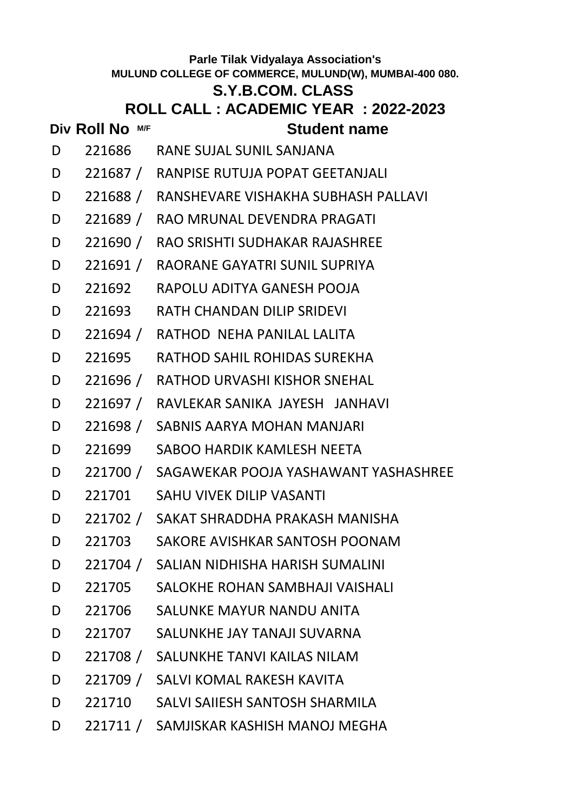# **Div Roll No M/F Student name Parle Tilak Vidyalaya Association's MULUND COLLEGE OF COMMERCE, MULUND(W), MUMBAI-400 080. S.Y.B.COM. CLASS ROLL CALL : ACADEMIC YEAR : 2022-2023** D 221686 RANE SUJAL SUNIL SANJANA D 221687 / RANPISE RUTUJA POPAT GEETANJALI D 221688 / RANSHEVARE VISHAKHA SUBHASH PALLAVI D 221689 / RAO MRUNAL DEVENDRA PRAGATI D 221690 / RAO SRISHTI SUDHAKAR RAJASHREE D 221691 / RAORANE GAYATRI SUNIL SUPRIYA D 221692 RAPOLU ADITYA GANESH POOJA D 221693 RATH CHANDAN DILIP SRIDEVI D 221694 / RATHOD NEHA PANILAL LALITA D 221695 RATHOD SAHIL ROHIDAS SUREKHA D 221696 / RATHOD URVASHI KISHOR SNEHAL D 221697 / RAVLEKAR SANIKA JAYESH JANHAVI D 221698 / SABNIS AARYA MOHAN MANJARI D 221699 SABOO HARDIK KAMLESH NEETA D 221700 / SAGAWEKAR POOJA YASHAWANT YASHASHREE D 221701 SAHU VIVEK DILIP VASANTI D 221702 / SAKAT SHRADDHA PRAKASH MANISHA D 221703 SAKORE AVISHKAR SANTOSH POONAM D 221704 / SALIAN NIDHISHA HARISH SUMALINI D 221705 SALOKHE ROHAN SAMBHAJI VAISHALI D 221706 SALUNKE MAYUR NANDU ANITA D 221707 SALUNKHE JAY TANAJI SUVARNA D 221708 / SALUNKHE TANVI KAILAS NILAM D 221709 / SALVI KOMAL RAKESH KAVITA D 221710 SALVI SAIIESH SANTOSH SHARMILA D 221711 / SAMJISKAR KASHISH MANOJ MEGHA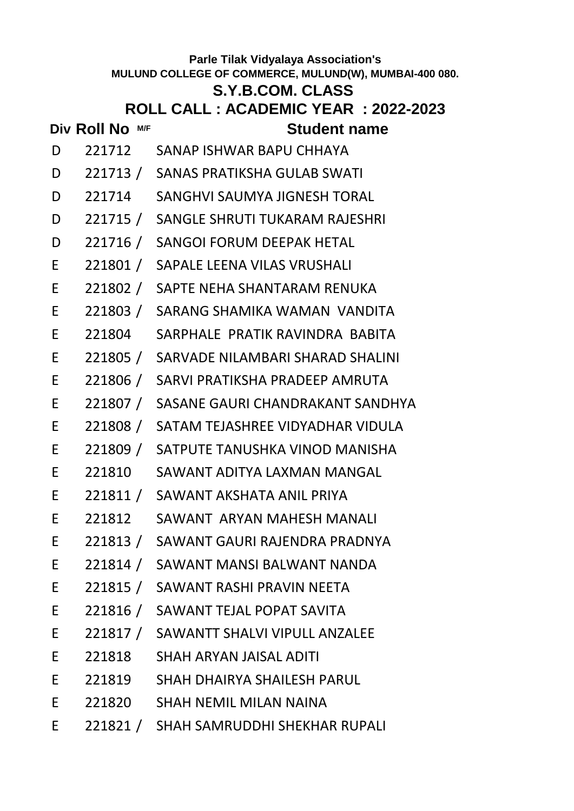# **Div Roll No**  $MF$  **Student name Parle Tilak Vidyalaya Association's MULUND COLLEGE OF COMMERCE, MULUND(W), MUMBAI-400 080. S.Y.B.COM. CLASS ROLL CALL : ACADEMIC YEAR : 2022-2023** D 221712 SANAP ISHWAR BAPU CHHAYA D 221713 / SANAS PRATIKSHA GULAB SWATI D 221714 SANGHVI SAUMYA JIGNESH TORAL D 221715 / SANGLE SHRUTI TUKARAM RAJESHRI D 221716 / SANGOI FORUM DEEPAK HETAL E 221801 / SAPALE LEENA VILAS VRUSHALI E 221802 / SAPTE NEHA SHANTARAM RENUKA E 221803 / SARANG SHAMIKA WAMAN VANDITA E 221804 SARPHALE PRATIK RAVINDRA BABITA E 221805 / SARVADE NILAMBARI SHARAD SHALINI E 221806 / SARVI PRATIKSHA PRADEEP AMRUTA E 221807 / SASANE GAURI CHANDRAKANT SANDHYA E 221808 / SATAM TEJASHREE VIDYADHAR VIDULA E 221809 / SATPUTE TANUSHKA VINOD MANISHA E 221810 SAWANT ADITYA LAXMAN MANGAL E 221811 / SAWANT AKSHATA ANIL PRIYA E 221812 SAWANT ARYAN MAHESH MANALI E 221813 / SAWANT GAURI RAJENDRA PRADNYA E 221814 / SAWANT MANSI BALWANT NANDA E 221815 / SAWANT RASHI PRAVIN NEETA E 221816 / SAWANT TEJAL POPAT SAVITA E 221817 / SAWANTT SHALVI VIPULL ANZALEE E 221818 SHAH ARYAN JAISAL ADITI E 221819 SHAH DHAIRYA SHAILESH PARUL E 221820 SHAH NEMIL MILAN NAINA E 221821 / SHAH SAMRUDDHI SHEKHAR RUPALI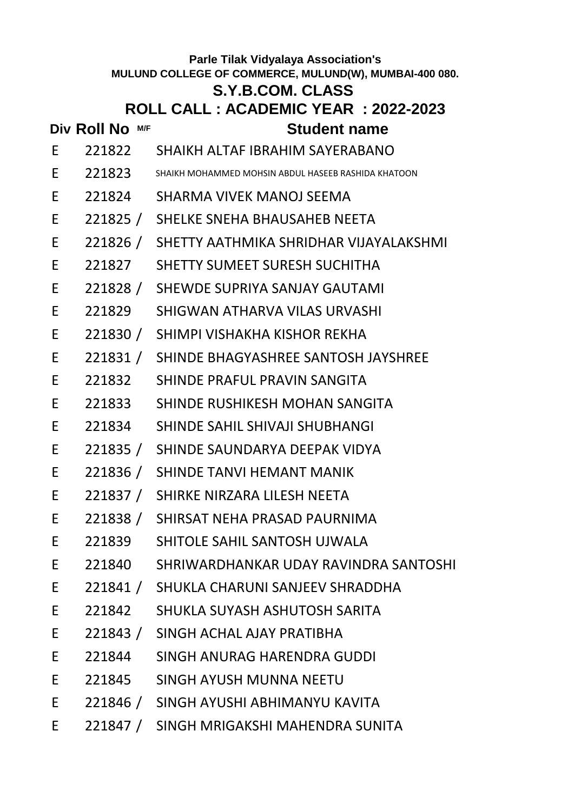## **S.Y.B.COM. CLASS**

|    | Div Roll No M/F | <b>Student name</b>                                          |
|----|-----------------|--------------------------------------------------------------|
| E. |                 | 221822 SHAIKH ALTAF IBRAHIM SAYERABANO                       |
| E. |                 | $221823$ SHAIKH MOHAMMED MOHSIN ABDUL HASEEB RASHIDA KHATOON |
| E. |                 | 221824 SHARMA VIVEK MANOJ SEEMA                              |
| E  |                 | 221825 / SHELKE SNEHA BHAUSAHEB NEETA                        |
| E  |                 | 221826 / SHETTY AATHMIKA SHRIDHAR VIJAYALAKSHMI              |
| E  |                 | 221827 SHETTY SUMEET SURESH SUCHITHA                         |
| E  |                 | 221828 / SHEWDE SUPRIYA SANJAY GAUTAMI                       |
| E  |                 | 221829       SHIGWAN ATHARVA VILAS URVASHI                   |
| E  |                 | 221830 / SHIMPI VISHAKHA KISHOR REKHA                        |
| E  |                 | 221831 / SHINDE BHAGYASHREE SANTOSH JAYSHREE                 |
| E  |                 | 221832 SHINDE PRAFUL PRAVIN SANGITA                          |
| E  |                 | 221833 SHINDE RUSHIKESH MOHAN SANGITA                        |
| E  |                 | 221834         SHINDE SAHIL SHIVAJI SHUBHANGI                |
| E  |                 | 221835 / SHINDE SAUNDARYA DEEPAK VIDYA                       |
| E  |                 | 221836 / SHINDE TANVI HEMANT MANIK                           |
| E  |                 | 221837 / SHIRKE NIRZARA LILESH NEETA                         |
| E  |                 | 221838 / SHIRSAT NEHA PRASAD PAURNIMA                        |
| E  |                 | 221839 SHITOLE SAHIL SANTOSH UJWALA                          |
| E. | 221840          | SHRIWARDHANKAR UDAY RAVINDRA SANTOSHI                        |
| E  | 221841 /        | SHUKLA CHARUNI SANJEEV SHRADDHA                              |
| E  | 221842          | SHUKLA SUYASH ASHUTOSH SARITA                                |
| E  |                 | 221843 / SINGH ACHAL AJAY PRATIBHA                           |
| E  | 221844          | SINGH ANURAG HARENDRA GUDDI                                  |
| E  | 221845          | SINGH AYUSH MUNNA NEETU                                      |
| E  |                 | 221846 / SINGH AYUSHI ABHIMANYU KAVITA                       |
| E  |                 | 221847 / SINGH MRIGAKSHI MAHENDRA SUNITA                     |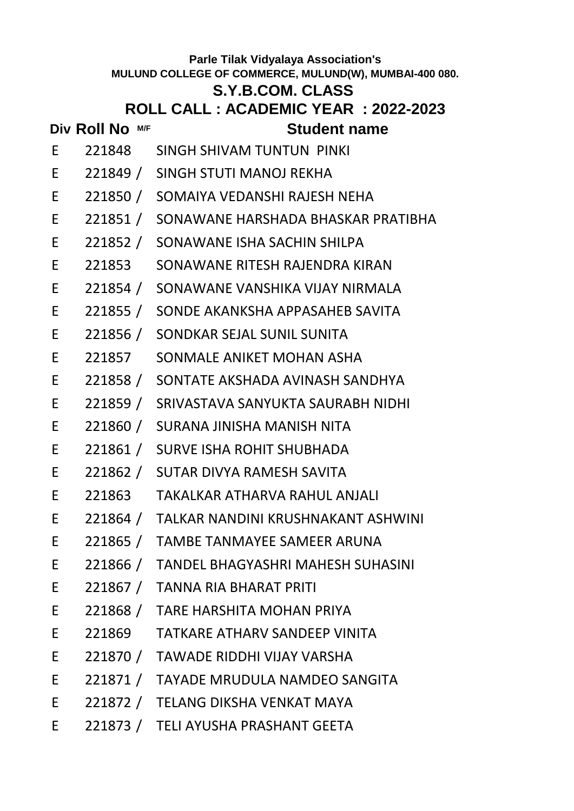## **S.Y.B.COM. CLASS**

**Student name** 

| Div Roll No M/F |        |                           | <b>Student I</b> |  |
|-----------------|--------|---------------------------|------------------|--|
|                 | 221848 | SINGH SHIVAM TUNTUN PINKI |                  |  |

- E 221849 / SINGH STUTI MANOJ REKHA
- E 221850 / SOMAIYA VEDANSHI RAJESH NEHA
- E 221851 / SONAWANE HARSHADA BHASKAR PRATIBHA
- E 221852 / SONAWANE ISHA SACHIN SHILPA
- E 221853 SONAWANE RITESH RAJENDRA KIRAN
- E 221854 / SONAWANE VANSHIKA VIJAY NIRMALA
- E 221855 / SONDE AKANKSHA APPASAHEB SAVITA
- E 221856 / SONDKAR SEJAL SUNIL SUNITA
- E 221857 SONMALE ANIKET MOHAN ASHA
- E 221858 / SONTATE AKSHADA AVINASH SANDHYA
- E 221859 / SRIVASTAVA SANYUKTA SAURABH NIDHI
- E 221860 / SURANA JINISHA MANISH NITA
- E 221861 / SURVE ISHA ROHIT SHUBHADA
- E 221862 / SUTAR DIVYA RAMESH SAVITA
- E 221863 TAKALKAR ATHARVA RAHUL ANJALI
- E 221864 / TALKAR NANDINI KRUSHNAKANT ASHWINI
- E 221865 / TAMBE TANMAYEE SAMEER ARUNA
- E 221866 / TANDEL BHAGYASHRI MAHESH SUHASINI
- E 221867 / TANNA RIA BHARAT PRITI
- E 221868 / TARE HARSHITA MOHAN PRIYA
- E 221869 TATKARE ATHARV SANDEEP VINITA
- E 221870 / TAWADE RIDDHI VIJAY VARSHA
- E 221871 / TAYADE MRUDULA NAMDEO SANGITA
- E 221872 / TELANG DIKSHA VENKAT MAYA
- E 221873 / TELI AYUSHA PRASHANT GEETA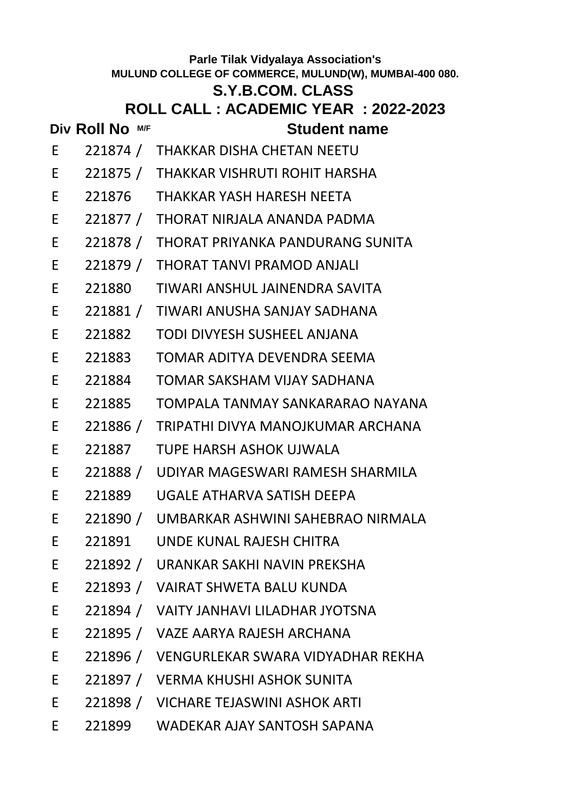# **Div Roll No M/F Student name Parle Tilak Vidyalaya Association's MULUND COLLEGE OF COMMERCE, MULUND(W), MUMBAI-400 080. S.Y.B.COM. CLASS ROLL CALL : ACADEMIC YEAR : 2022-2023** E 221874 / THAKKAR DISHA CHETAN NEETU E 221875 / THAKKAR VISHRUTI ROHIT HARSHA E 221876 THAKKAR YASH HARESH NEETA E 221877 / THORAT NIRJALA ANANDA PADMA E 221878 / THORAT PRIYANKA PANDURANG SUNITA E 221879 / THORAT TANVI PRAMOD ANJALI E 221880 TIWARI ANSHUL JAINENDRA SAVITA E 221881 / TIWARI ANUSHA SANJAY SADHANA E 221882 TODI DIVYESH SUSHEEL ANJANA E 221883 TOMAR ADITYA DEVENDRA SEEMA E 221884 TOMAR SAKSHAM VIJAY SADHANA E 221885 TOMPALA TANMAY SANKARARAO NAYANA E 221886 / TRIPATHI DIVYA MANOJKUMAR ARCHANA E 221887 TUPE HARSH ASHOK UJWALA E 221888 / UDIYAR MAGESWARI RAMESH SHARMILA E 221889 UGALE ATHARVA SATISH DEEPA E 221890 / UMBARKAR ASHWINI SAHEBRAO NIRMALA E 221891 UNDE KUNAL RAJESH CHITRA E 221892 / URANKAR SAKHI NAVIN PREKSHA E 221893 / VAIRAT SHWETA BALU KUNDA E 221894 / VAITY JANHAVI LILADHAR JYOTSNA E 221895 / VAZE AARYA RAJESH ARCHANA E 221896 / VENGURLEKAR SWARA VIDYADHAR REKHA E 221897 / VERMA KHUSHI ASHOK SUNITA E 221898 / VICHARE TEJASWINI ASHOK ARTI E 221899 WADEKAR AJAY SANTOSH SAPANA